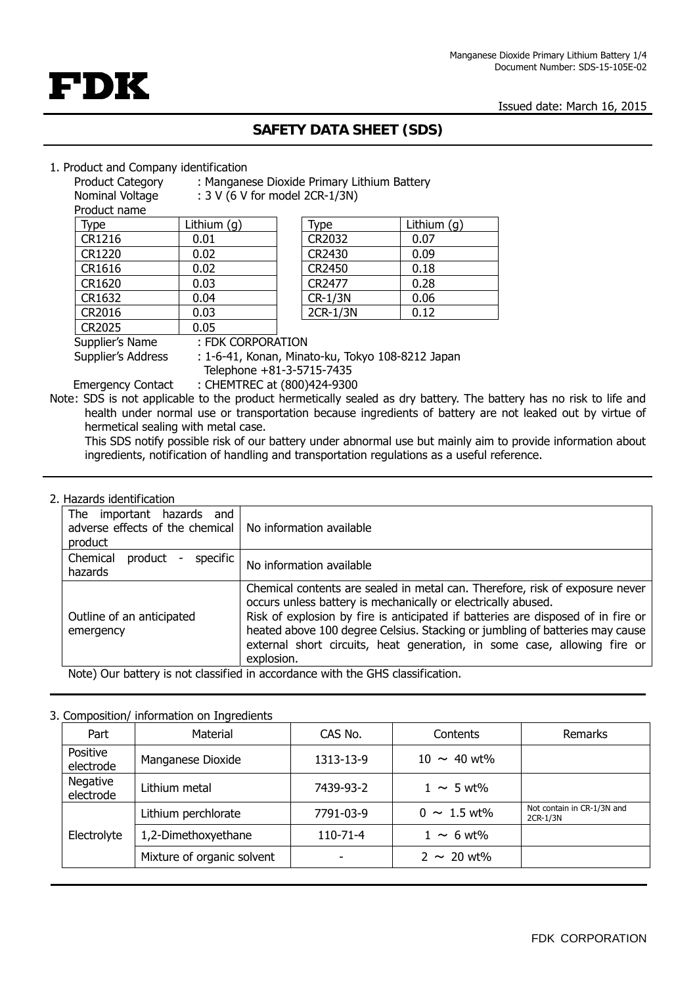Issued date: March 16, 2015



# **SAFETY DATA SHEET (SDS)**

#### 1. Product and Company identification

|                  | : Manganese Dioxide Primary Lithium Battery |  |
|------------------|---------------------------------------------|--|
| Product Category |                                             |  |

Nominal Voltage : 3 V (6 V for model 2CR-1/3N)

Product name

| Type   | Lithium $(q)$ | Type     | Lithium (g) |
|--------|---------------|----------|-------------|
| CR1216 | 0.01          | CR2032   | 0.07        |
| CR1220 | 0.02          | CR2430   | 0.09        |
| CR1616 | 0.02          | CR2450   | 0.18        |
| CR1620 | 0.03          | CR2477   | 0.28        |
| CR1632 | 0.04          | CR-1/3N  | 0.06        |
| CR2016 | 0.03          | 2CR-1/3N | 0.12        |
| CR2025 | 0.05          |          |             |
| .      |               |          |             |

| Type     | Lithium $(g)$ |
|----------|---------------|
| CR2032   | 0.07          |
| CR2430   | 0.09          |
| CR2450   | 0.18          |
| CR2477   | 0.28          |
| CR-1/3N  | 0.06          |
| 2CR-1/3N | 0.12          |

Supplier's Name : FDK CORPORATION

Supplier's Address : 1-6-41, Konan, Minato-ku, Tokyo 108-8212 Japan

Telephone +81-3-5715-7435

Emergency Contact : CHEMTREC at (800)424-9300 Note: SDS is not applicable to the product hermetically sealed as dry battery. The battery has no risk to life and health under normal use or transportation because ingredients of battery are not leaked out by virtue of hermetical sealing with metal case.

This SDS notify possible risk of our battery under abnormal use but mainly aim to provide information about ingredients, notification of handling and transportation regulations as a useful reference.

### 2. Hazards identification

| The<br>important hazards and<br>adverse effects of the chemical   No information available<br>product |                                                                                                                                                                                                                                                                                                                                                                                                             |
|-------------------------------------------------------------------------------------------------------|-------------------------------------------------------------------------------------------------------------------------------------------------------------------------------------------------------------------------------------------------------------------------------------------------------------------------------------------------------------------------------------------------------------|
| Chemical<br>specific<br>product<br>hazards                                                            | No information available                                                                                                                                                                                                                                                                                                                                                                                    |
| Outline of an anticipated<br>emergency                                                                | Chemical contents are sealed in metal can. Therefore, risk of exposure never<br>occurs unless battery is mechanically or electrically abused.<br>Risk of explosion by fire is anticipated if batteries are disposed of in fire or<br>heated above 100 degree Celsius. Stacking or jumbling of batteries may cause<br>external short circuits, heat generation, in some case, allowing fire or<br>explosion. |
| Note) Our battery is not classified in accordance with the GHS classification.                        |                                                                                                                                                                                                                                                                                                                                                                                                             |

Note) Our battery is not classified in accordance with the GHS classification.

## 3. Composition/ information on Ingredients

| Part                  | Material                   | CAS No.   | Contents         | Remarks                                |
|-----------------------|----------------------------|-----------|------------------|----------------------------------------|
| Positive<br>electrode | Manganese Dioxide          | 1313-13-9 | $10 \sim 40$ wt% |                                        |
| Negative<br>electrode | Lithium metal              | 7439-93-2 | $1 \sim 5$ wt%   |                                        |
|                       | Lithium perchlorate        | 7791-03-9 | $0 \sim 1.5$ wt% | Not contain in CR-1/3N and<br>2CR-1/3N |
| Electrolyte           | 1,2-Dimethoxyethane        | 110-71-4  | $1 \sim 6$ wt%   |                                        |
|                       | Mixture of organic solvent | ۰         | $2 \sim 20$ wt%  |                                        |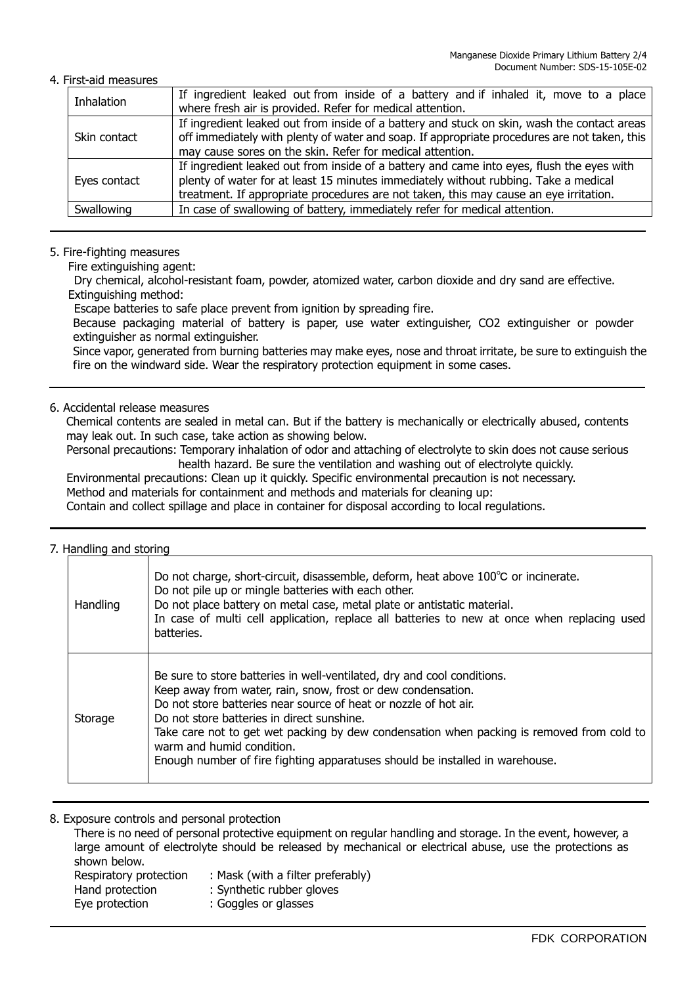#### 4. First-aid measures

| Inhalation   | If ingredient leaked out from inside of a battery and if inhaled it, move to a place<br>where fresh air is provided. Refer for medical attention. |
|--------------|---------------------------------------------------------------------------------------------------------------------------------------------------|
|              |                                                                                                                                                   |
| Skin contact | If ingredient leaked out from inside of a battery and stuck on skin, wash the contact areas                                                       |
|              | off immediately with plenty of water and soap. If appropriate procedures are not taken, this                                                      |
|              | may cause sores on the skin. Refer for medical attention.                                                                                         |
| Eyes contact | If ingredient leaked out from inside of a battery and came into eyes, flush the eyes with                                                         |
|              | plenty of water for at least 15 minutes immediately without rubbing. Take a medical                                                               |
|              | treatment. If appropriate procedures are not taken, this may cause an eye irritation.                                                             |
| Swallowing   | In case of swallowing of battery, immediately refer for medical attention.                                                                        |
|              |                                                                                                                                                   |

#### 5. Fire-fighting measures

Fire extinguishing agent:

Dry chemical, alcohol-resistant foam, powder, atomized water, carbon dioxide and dry sand are effective. Extinguishing method:

Escape batteries to safe place prevent from ignition by spreading fire.

Because packaging material of battery is paper, use water extinguisher, CO2 extinguisher or powder extinguisher as normal extinguisher.

Since vapor, generated from burning batteries may make eyes, nose and throat irritate, be sure to extinguish the fire on the windward side. Wear the respiratory protection equipment in some cases.

# 6. Accidental release measures

Chemical contents are sealed in metal can. But if the battery is mechanically or electrically abused, contents may leak out. In such case, take action as showing below.

Personal precautions: Temporary inhalation of odor and attaching of electrolyte to skin does not cause serious health hazard. Be sure the ventilation and washing out of electrolyte quickly.

Environmental precautions: Clean up it quickly. Specific environmental precaution is not necessary. Method and materials for containment and methods and materials for cleaning up: Contain and collect spillage and place in container for disposal according to local regulations.

#### 7. Handling and storing

| Handling | Do not charge, short-circuit, disassemble, deform, heat above 100℃ or incinerate.<br>Do not pile up or mingle batteries with each other.<br>Do not place battery on metal case, metal plate or antistatic material.<br>In case of multi cell application, replace all batteries to new at once when replacing used<br>batteries.                                                                                                                                    |
|----------|---------------------------------------------------------------------------------------------------------------------------------------------------------------------------------------------------------------------------------------------------------------------------------------------------------------------------------------------------------------------------------------------------------------------------------------------------------------------|
| Storage  | Be sure to store batteries in well-ventilated, dry and cool conditions.<br>Keep away from water, rain, snow, frost or dew condensation.<br>Do not store batteries near source of heat or nozzle of hot air.<br>Do not store batteries in direct sunshine.<br>Take care not to get wet packing by dew condensation when packing is removed from cold to<br>warm and humid condition.<br>Enough number of fire fighting apparatuses should be installed in warehouse. |

8. Exposure controls and personal protection

There is no need of personal protective equipment on regular handling and storage. In the event, however, a large amount of electrolyte should be released by mechanical or electrical abuse, use the protections as shown below. Respiratory protection : Mask (with a filter preferably) Hand protection : Synthetic rubber gloves Eye protection : Goggles or glasses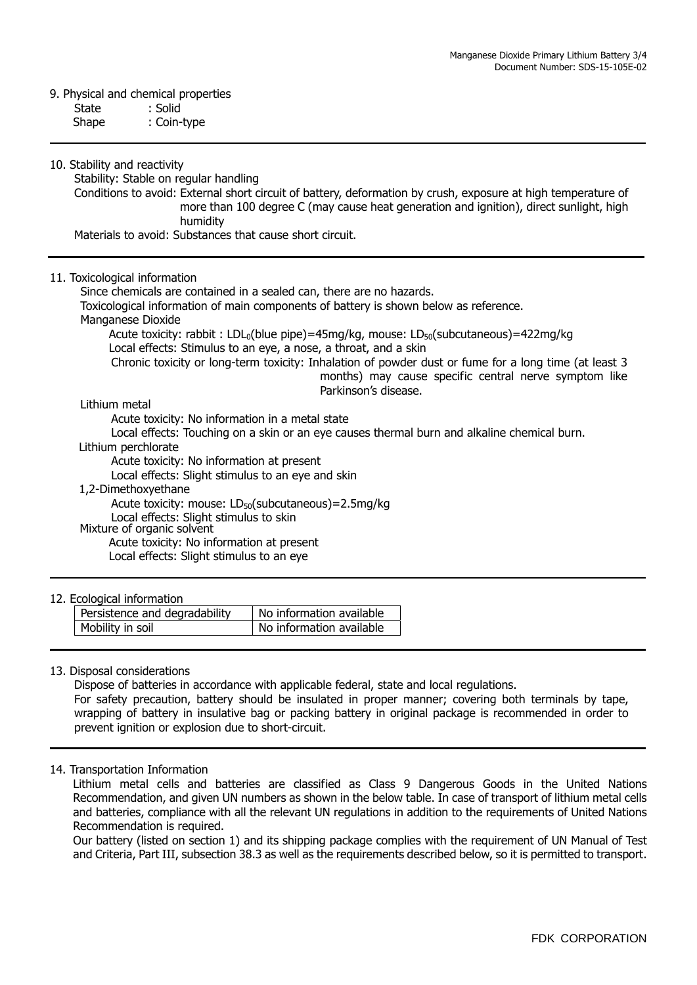#### 9. Physical and chemical properties

| State | : Solid |
|-------|---------|
|-------|---------|

Shape : Coin-type

10. Stability and reactivity

Stability: Stable on regular handling

Conditions to avoid: External short circuit of battery, deformation by crush, exposure at high temperature of more than 100 degree C (may cause heat generation and ignition), direct sunlight, high humidity

Materials to avoid: Substances that cause short circuit.

#### 11. Toxicological information

Since chemicals are contained in a sealed can, there are no hazards. Toxicological information of main components of battery is shown below as reference. Manganese Dioxide Acute toxicity: rabbit : LDL<sub>0</sub>(blue pipe)=45mg/kg, mouse: LD<sub>50</sub>(subcutaneous)=422mg/kg

Local effects: Stimulus to an eye, a nose, a throat, and a skin

Chronic toxicity or long-term toxicity: Inhalation of powder dust or fume for a long time (at least 3 months) may cause specific central nerve symptom like Parkinson's disease.

#### Lithium metal

Acute toxicity: No information in a metal state

Local effects: Touching on a skin or an eye causes thermal burn and alkaline chemical burn.

Lithium perchlorate

Acute toxicity: No information at present

Local effects: Slight stimulus to an eye and skin

1,2-Dimethoxyethane

Acute toxicity: mouse:  $LD_{50}$ (subcutaneous)=2.5mg/kg

Local effects: Slight stimulus to skin Mixture of organic solvent

Acute toxicity: No information at present

Local effects: Slight stimulus to an eye

#### 12. Ecological information

| Persistence and degradability | No information available |
|-------------------------------|--------------------------|
| Mobility in soil              | No information available |

#### 13. Disposal considerations

Dispose of batteries in accordance with applicable federal, state and local regulations. For safety precaution, battery should be insulated in proper manner; covering both terminals by tape, wrapping of battery in insulative bag or packing battery in original package is recommended in order to prevent ignition or explosion due to short-circuit.

#### 14. Transportation Information

 Lithium metal cells and batteries are classified as Class 9 Dangerous Goods in the United Nations Recommendation, and given UN numbers as shown in the below table. In case of transport of lithium metal cells and batteries, compliance with all the relevant UN regulations in addition to the requirements of United Nations Recommendation is required.

Our battery (listed on section 1) and its shipping package complies with the requirement of UN Manual of Test and Criteria, Part III, subsection 38.3 as well as the requirements described below, so it is permitted to transport.